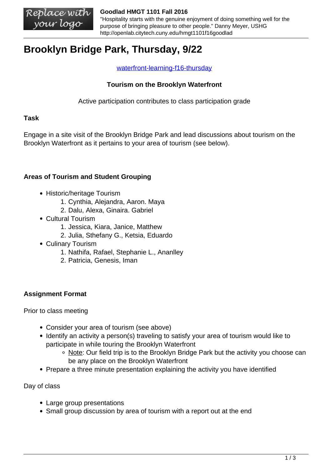#### **Goodlad HMGT 1101 Fall 2016**

"Hospitality starts with the genuine enjoyment of doing something well for the purpose of bringing pleasure to other people." Danny Meyer, USHG http://openlab.citytech.cuny.edu/hmgt1101f16goodlad

# **Brooklyn Bridge Park, Thursday, 9/22**

### [waterfront-learning-f16-thursday](https://openlab.citytech.cuny.edu/hmgt1101f16goodlad/files/2014/09/waterfront-learning-f16-Thursday.pdf)

## **Tourism on the Brooklyn Waterfront**

Active participation contributes to class participation grade

### **Task**

Engage in a site visit of the Brooklyn Bridge Park and lead discussions about tourism on the Brooklyn Waterfront as it pertains to your area of tourism (see below).

## **Areas of Tourism and Student Grouping**

- Historic/heritage Tourism
	- 1. Cynthia, Alejandra, Aaron. Maya
	- 2. Dalu, Alexa, Ginaira. Gabriel
- Cultural Tourism
	- 1. Jessica, Kiara, Janice, Matthew
	- 2. Julia, Sthefany G., Ketsia, Eduardo
- Culinary Tourism
	- 1. Nathifa, Rafael, Stephanie L., Ananlley
	- 2. Patricia, Genesis, Iman

## **Assignment Format**

Prior to class meeting

- Consider your area of tourism (see above)
- Identify an activity a person(s) traveling to satisfy your area of tourism would like to participate in while touring the Brooklyn Waterfront
	- Note: Our field trip is to the Brooklyn Bridge Park but the activity you choose can be any place on the Brooklyn Waterfront
- Prepare a three minute presentation explaining the activity you have identified

Day of class

- Large group presentations
- Small group discussion by area of tourism with a report out at the end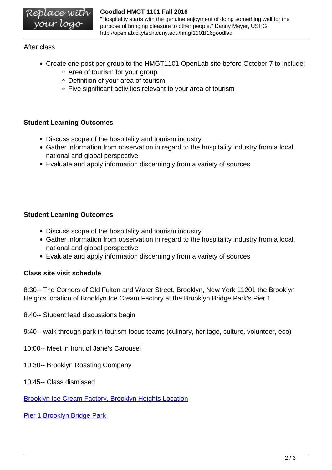#### **Goodlad HMGT 1101 Fall 2016**

"Hospitality starts with the genuine enjoyment of doing something well for the purpose of bringing pleasure to other people." Danny Meyer, USHG http://openlab.citytech.cuny.edu/hmgt1101f16goodlad

## After class

- Create one post per group to the HMGT1101 OpenLab site before October 7 to include:
	- Area of tourism for your group
	- Definition of your area of tourism
	- Five significant activities relevant to your area of tourism

## **Student Learning Outcomes**

- Discuss scope of the hospitality and tourism industry
- Gather information from observation in regard to the hospitality industry from a local, national and global perspective
- Evaluate and apply information discerningly from a variety of sources

## **Student Learning Outcomes**

- Discuss scope of the hospitality and tourism industry
- Gather information from observation in regard to the hospitality industry from a local, national and global perspective
- Evaluate and apply information discerningly from a variety of sources

## **Class site visit schedule**

8:30-- The Corners of Old Fulton and Water Street, Brooklyn, New York 11201 the Brooklyn Heights location of Brooklyn Ice Cream Factory at the Brooklyn Bridge Park's Pier 1.

- 8:40-- Student lead discussions begin
- 9:40-- walk through park in tourism focus teams (culinary, heritage, culture, volunteer, eco)
- 10:00-- Meet in front of Jane's Carousel
- 10:30-- Brooklyn Roasting Company
- 10:45-- Class dismissed

[Brooklyn Ice Cream Factory, Brooklyn Heights Location](http://www.brooklynicecreamfactory.com/locations.html)

[Pier 1 Brooklyn Bridge Park](http://www.brooklynbridgepark.org/park/pier-1)